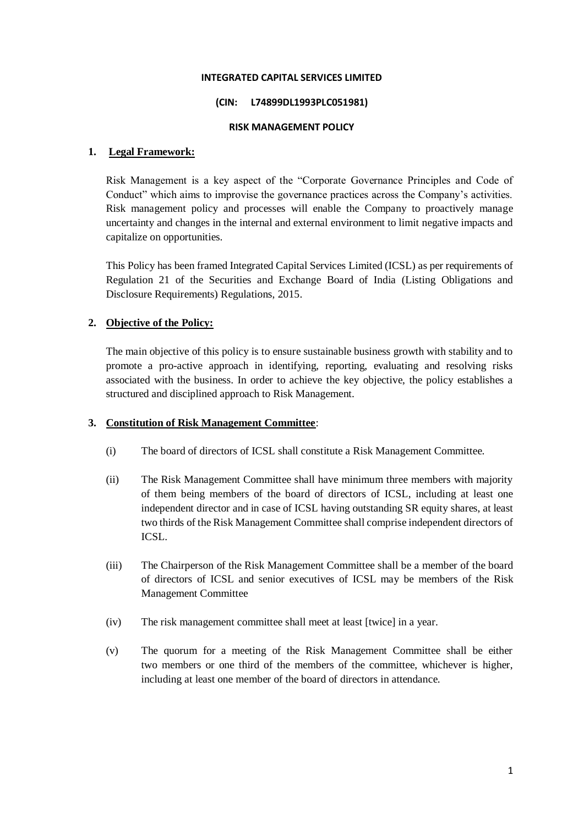#### **INTEGRATED CAPITAL SERVICES LIMITED**

#### **(CIN: L74899DL1993PLC051981)**

#### **RISK MANAGEMENT POLICY**

#### **1. Legal Framework:**

Risk Management is a key aspect of the "Corporate Governance Principles and Code of Conduct" which aims to improvise the governance practices across the Company's activities. Risk management policy and processes will enable the Company to proactively manage uncertainty and changes in the internal and external environment to limit negative impacts and capitalize on opportunities.

This Policy has been framed Integrated Capital Services Limited (ICSL) as per requirements of Regulation 21 of the Securities and Exchange Board of India (Listing Obligations and Disclosure Requirements) Regulations, 2015.

# **2. Objective of the Policy:**

The main objective of this policy is to ensure sustainable business growth with stability and to promote a pro-active approach in identifying, reporting, evaluating and resolving risks associated with the business. In order to achieve the key objective, the policy establishes a structured and disciplined approach to Risk Management.

#### **3. Constitution of Risk Management Committee**:

- (i) The board of directors of ICSL shall constitute a Risk Management Committee.
- (ii) The Risk Management Committee shall have minimum three members with majority of them being members of the board of directors of ICSL, including at least one independent director and in case of ICSL having outstanding SR equity shares, at least two thirds of the Risk Management Committee shall comprise independent directors of ICSL.
- (iii) The Chairperson of the Risk Management Committee shall be a member of the board of directors of ICSL and senior executives of ICSL may be members of the Risk Management Committee
- (iv) The risk management committee shall meet at least [twice] in a year.
- (v) The quorum for a meeting of the Risk Management Committee shall be either two members or one third of the members of the committee, whichever is higher, including at least one member of the board of directors in attendance.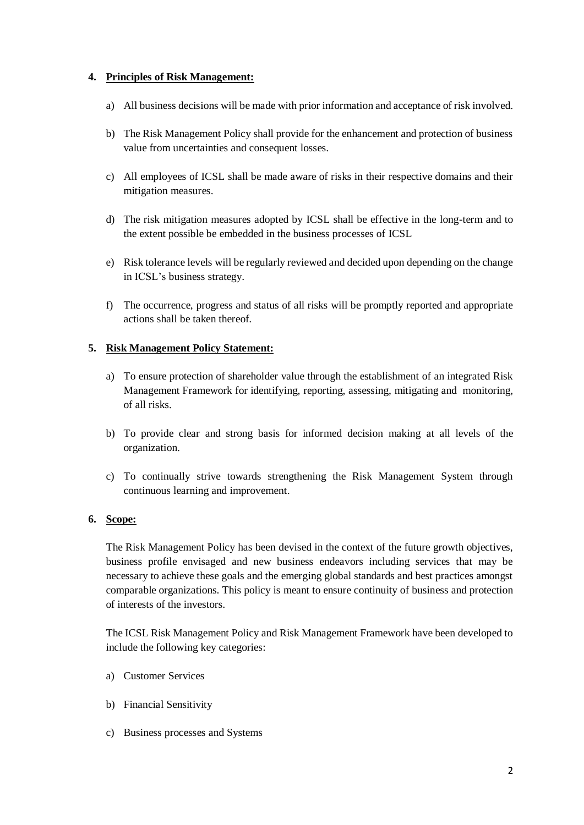# **4. Principles of Risk Management:**

- a) All business decisions will be made with prior information and acceptance of risk involved.
- b) The Risk Management Policy shall provide for the enhancement and protection of business value from uncertainties and consequent losses.
- c) All employees of ICSL shall be made aware of risks in their respective domains and their mitigation measures.
- d) The risk mitigation measures adopted by ICSL shall be effective in the long-term and to the extent possible be embedded in the business processes of ICSL
- e) Risk tolerance levels will be regularly reviewed and decided upon depending on the change in ICSL's business strategy.
- f) The occurrence, progress and status of all risks will be promptly reported and appropriate actions shall be taken thereof.

# **5. Risk Management Policy Statement:**

- a) To ensure protection of shareholder value through the establishment of an integrated Risk Management Framework for identifying, reporting, assessing, mitigating and monitoring, of all risks.
- b) To provide clear and strong basis for informed decision making at all levels of the organization.
- c) To continually strive towards strengthening the Risk Management System through continuous learning and improvement.

# **6. Scope:**

The Risk Management Policy has been devised in the context of the future growth objectives, business profile envisaged and new business endeavors including services that may be necessary to achieve these goals and the emerging global standards and best practices amongst comparable organizations. This policy is meant to ensure continuity of business and protection of interests of the investors.

The ICSL Risk Management Policy and Risk Management Framework have been developed to include the following key categories:

- a) Customer Services
- b) Financial Sensitivity
- c) Business processes and Systems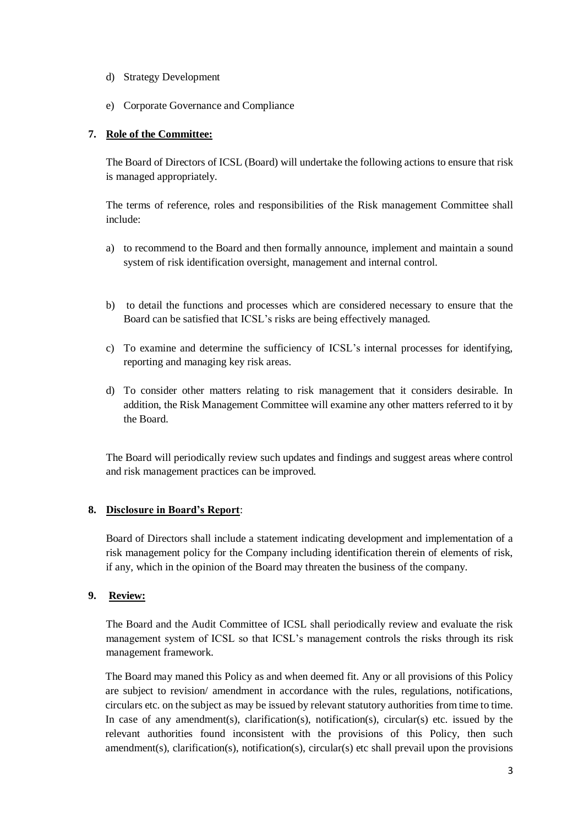- d) Strategy Development
- e) Corporate Governance and Compliance

# **7. Role of the Committee:**

The Board of Directors of ICSL (Board) will undertake the following actions to ensure that risk is managed appropriately.

The terms of reference, roles and responsibilities of the Risk management Committee shall include:

- a) to recommend to the Board and then formally announce, implement and maintain a sound system of risk identification oversight, management and internal control.
- b) to detail the functions and processes which are considered necessary to ensure that the Board can be satisfied that ICSL's risks are being effectively managed.
- c) To examine and determine the sufficiency of ICSL's internal processes for identifying, reporting and managing key risk areas.
- d) To consider other matters relating to risk management that it considers desirable. In addition, the Risk Management Committee will examine any other matters referred to it by the Board.

The Board will periodically review such updates and findings and suggest areas where control and risk management practices can be improved.

# **8. Disclosure in Board's Report**:

Board of Directors shall include a statement indicating development and implementation of a risk management policy for the Company including identification therein of elements of risk, if any, which in the opinion of the Board may threaten the business of the company.

# **9. Review:**

The Board and the Audit Committee of ICSL shall periodically review and evaluate the risk management system of ICSL so that ICSL's management controls the risks through its risk management framework.

The Board may maned this Policy as and when deemed fit. Any or all provisions of this Policy are subject to revision/ amendment in accordance with the rules, regulations, notifications, circulars etc. on the subject as may be issued by relevant statutory authorities from time to time. In case of any amendment(s), clarification(s), notification(s), circular(s) etc. issued by the relevant authorities found inconsistent with the provisions of this Policy, then such amendment(s), clarification(s), notification(s), circular(s) etc shall prevail upon the provisions